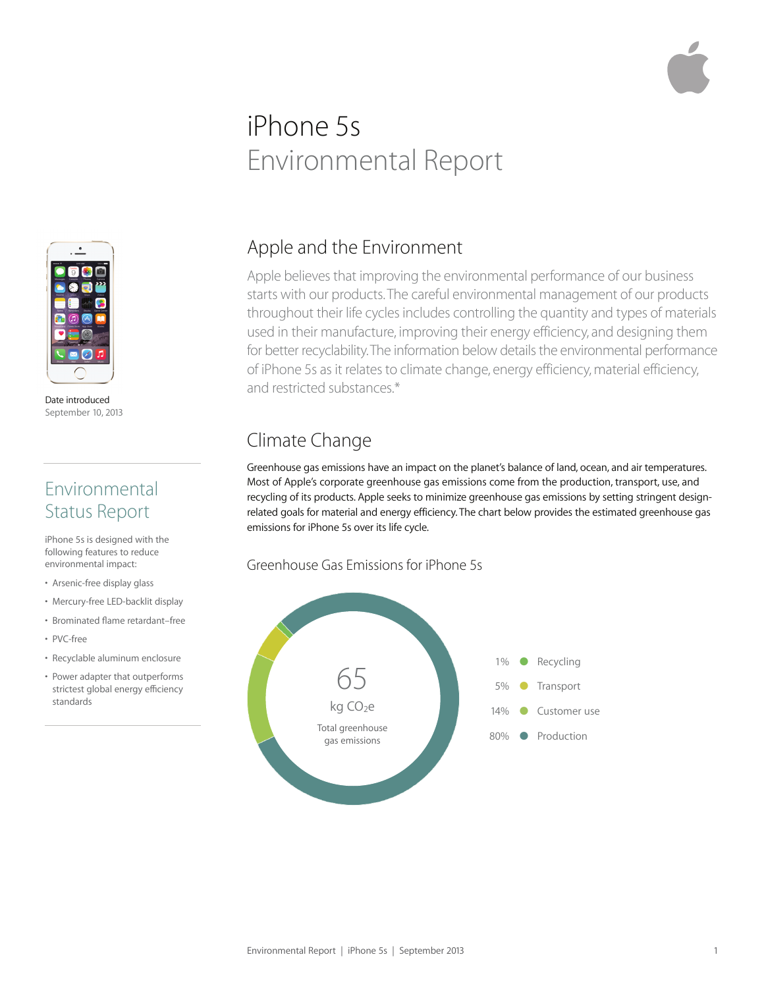# iPhone 5s Environmental Report



Date introduced September 10, 2013

## Environmental Status Report

iPhone 5s is designed with the following features to reduce environmental impact:

- Arsenic-free display glass
- Mercury-free LED-backlit display
- Brominated flame retardant–free
- PVC-free
- Recyclable aluminum enclosure
- Power adapter that outperforms strictest global energy efficiency standards

## Apple and the Environment

Apple believes that improving the environmental performance of our business starts with our products. The careful environmental management of our products throughout their life cycles includes controlling the quantity and types of materials used in their manufacture, improving their energy efficiency, and designing them for better recyclability. The information below details the environmental performance of iPhone 5s as it relates to climate change, energy efficiency, material efficiency, and restricted substances.\*

# Climate Change

Greenhouse gas emissions have an impact on the planet's balance of land, ocean, and air temperatures. Most of Apple's corporate greenhouse gas emissions come from the production, transport, use, and recycling of its products. Apple seeks to minimize greenhouse gas emissions by setting stringent designrelated goals for material and energy efficiency. The chart below provides the estimated greenhouse gas emissions for iPhone 5s over its life cycle.

#### Greenhouse Gas Emissions for iPhone 5s

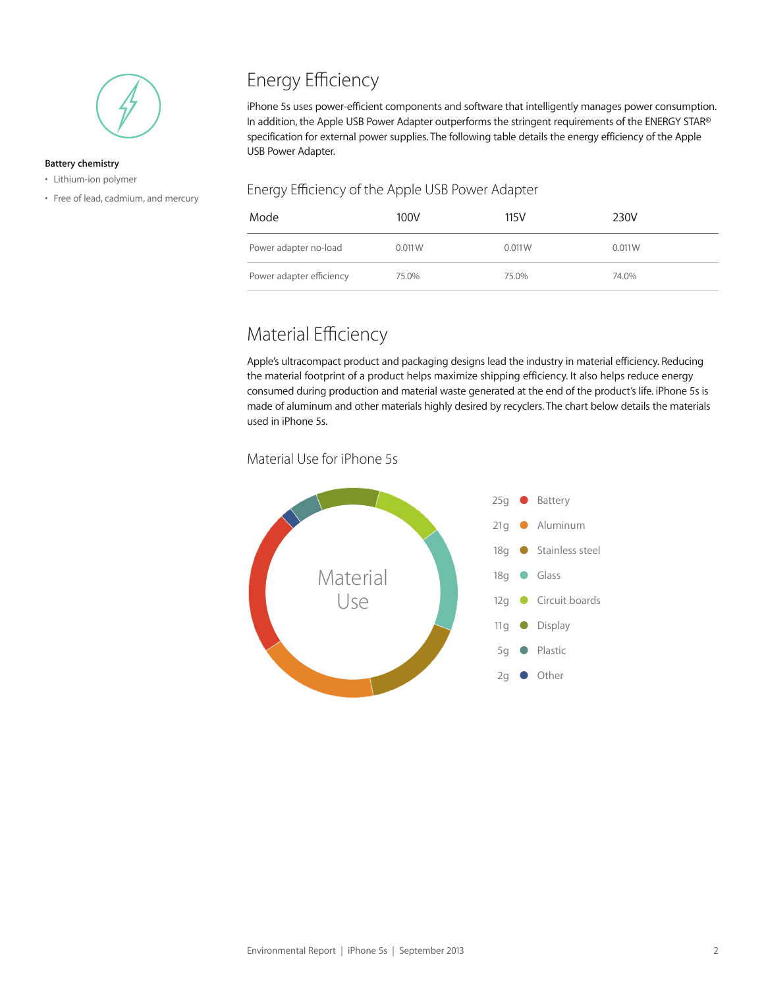

#### **Battery chemistry**

- Lithium-ion polymer
- Free of lead, cadmium, and mercury

# Energy Efficiency

iPhone 5s uses power-efficient components and software that intelligently manages power consumption. In addition, the Apple USB Power Adapter outperforms the stringent requirements of the ENERGY STAR® specification for external power supplies. The following table details the energy efficiency of the Apple USB Power Adapter.

#### Energy Efficiency of the Apple USB Power Adapter

| Mode                     | 100V   | 115V   | 230V   |
|--------------------------|--------|--------|--------|
| Power adapter no-load    | 0.011W | 0.011W | 0.011W |
| Power adapter efficiency | 75.0%  | 75.0%  | 74.0%  |

## Material Efficiency

Apple's ultracompact product and packaging designs lead the industry in material efficiency. Reducing the material footprint of a product helps maximize shipping efficiency. It also helps reduce energy consumed during production and material waste generated at the end of the product's life. iPhone 5s is made of aluminum and other materials highly desired by recyclers. The chart below details the materials used in iPhone 5s.

#### Material Use for iPhone 5s

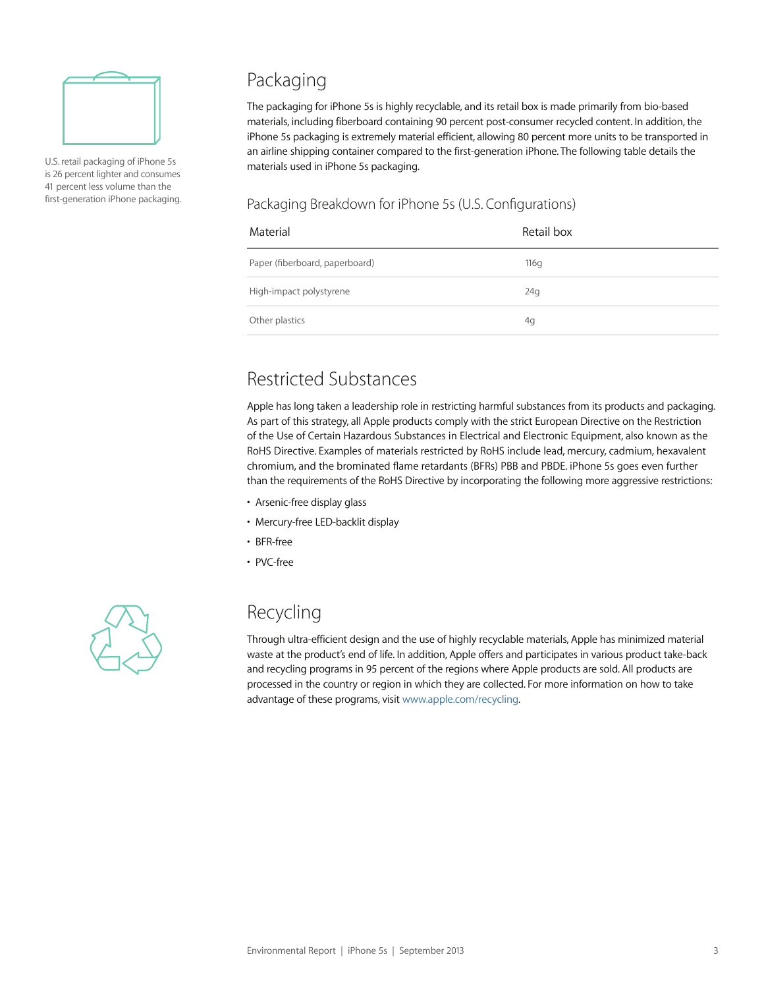

U.S. retail packaging of iPhone 5s is 26 percent lighter and consumes 41 percent less volume than the first-generation iPhone packaging.

## Packaging

The packaging for iPhone 5s is highly recyclable, and its retail box is made primarily from bio-based materials, including fiberboard containing 90 percent post-consumer recycled content. In addition, the iPhone 5s packaging is extremely material efficient, allowing 80 percent more units to be transported in an airline shipping container compared to the first-generation iPhone. The following table details the materials used in iPhone 5s packaging.

#### Packaging Breakdown for iPhone 5s (U.S. Configurations)

| Material                       | Retail box |
|--------------------------------|------------|
| Paper (fiberboard, paperboard) | 116q       |
| High-impact polystyrene        | 24g        |
| Other plastics                 | 4g         |

# Restricted Substances

Apple has long taken a leadership role in restricting harmful substances from its products and packaging. As part of this strategy, all Apple products comply with the strict European Directive on the Restriction of the Use of Certain Hazardous Substances in Electrical and Electronic Equipment, also known as the RoHS Directive. Examples of materials restricted by RoHS include lead, mercury, cadmium, hexavalent chromium, and the brominated flame retardants (BFRs) PBB and PBDE. iPhone 5s goes even further than the requirements of the RoHS Directive by incorporating the following more aggressive restrictions:

- Arsenic-free display glass
- Mercury-free LED-backlit display
- BFR-free
- PVC-free



#### Recycling

Through ultra-efficient design and the use of highly recyclable materials, Apple has minimized material waste at the product's end of life. In addition, Apple offers and participates in various product take-back and recycling programs in 95 percent of the regions where Apple products are sold. All products are processed in the country or region in which they are collected. For more information on how to take advantage of these programs, visit www.apple.com/recycling.